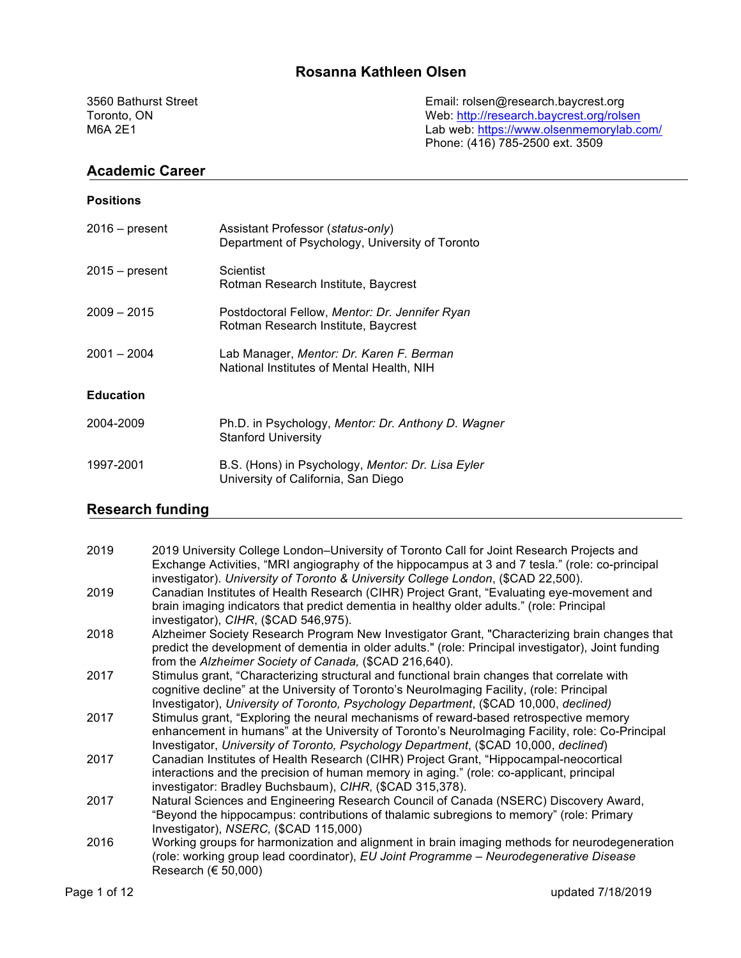# **Rosanna Kathleen Olsen**

3560 Bathurst Street Email: rolsen@research.baycrest.org Toronto, ON<br>
Toronto, ON Web: http://research.baycrest.org/rolsen<br>
M6A 2E1 Lab web: https://www.olsenmemorylab.co Lab web: https://www.olsenmemorylab.com/ Phone: (416) 785-2500 ext. 3509

#### **Academic Career**

| <b>Positions</b> |                                                                                          |
|------------------|------------------------------------------------------------------------------------------|
| 2016 – present   | Assistant Professor (status-only)<br>Department of Psychology, University of Toronto     |
| 2015 – present   | Scientist<br>Rotman Research Institute, Baycrest                                         |
| 2009 – 2015      | Postdoctoral Fellow, Mentor: Dr. Jennifer Ryan<br>Rotman Research Institute, Baycrest    |
| 2001 – 2004      | Lab Manager, Mentor: Dr. Karen F. Berman<br>National Institutes of Mental Health, NIH    |
| <b>Education</b> |                                                                                          |
| 2004-2009        | Ph.D. in Psychology, Mentor: Dr. Anthony D. Wagner<br><b>Stanford University</b>         |
| 1997-2001        | B.S. (Hons) in Psychology, Mentor: Dr. Lisa Eyler<br>University of California, San Diego |

# **Research funding**

| 2019 | 2019 University College London-University of Toronto Call for Joint Research Projects and<br>Exchange Activities, "MRI angiography of the hippocampus at 3 and 7 tesla." (role: co-principal                                                                                     |
|------|----------------------------------------------------------------------------------------------------------------------------------------------------------------------------------------------------------------------------------------------------------------------------------|
|      | investigator). University of Toronto & University College London, (\$CAD 22,500).                                                                                                                                                                                                |
| 2019 | Canadian Institutes of Health Research (CIHR) Project Grant, "Evaluating eye-movement and                                                                                                                                                                                        |
|      | brain imaging indicators that predict dementia in healthy older adults." (role: Principal<br>investigator), CIHR, (\$CAD 546,975).                                                                                                                                               |
| 2018 | Alzheimer Society Research Program New Investigator Grant, "Characterizing brain changes that<br>predict the development of dementia in older adults." (role: Principal investigator), Joint funding                                                                             |
| 2017 | from the Alzheimer Society of Canada, (\$CAD 216,640).<br>Stimulus grant, "Characterizing structural and functional brain changes that correlate with                                                                                                                            |
|      | cognitive decline" at the University of Toronto's Neurolmaging Facility, (role: Principal<br>Investigator), University of Toronto, Psychology Department, (\$CAD 10,000, declined)                                                                                               |
| 2017 | Stimulus grant, "Exploring the neural mechanisms of reward-based retrospective memory<br>enhancement in humans" at the University of Toronto's Neurolmaging Facility, role: Co-Principal<br>Investigator, University of Toronto, Psychology Department, (\$CAD 10,000, declined) |
| 2017 | Canadian Institutes of Health Research (CIHR) Project Grant, "Hippocampal-neocortical<br>interactions and the precision of human memory in aging." (role: co-applicant, principal<br>investigator: Bradley Buchsbaum), CIHR, (\$CAD 315,378).                                    |
| 2017 | Natural Sciences and Engineering Research Council of Canada (NSERC) Discovery Award,<br>"Beyond the hippocampus: contributions of thalamic subregions to memory" (role: Primary<br>Investigator), NSERC, (\$CAD 115,000)                                                         |
| 2016 | Working groups for harmonization and alignment in brain imaging methods for neurodegeneration<br>(role: working group lead coordinator), EU Joint Programme - Neurodegenerative Disease<br>Research ( $\in$ 50,000)                                                              |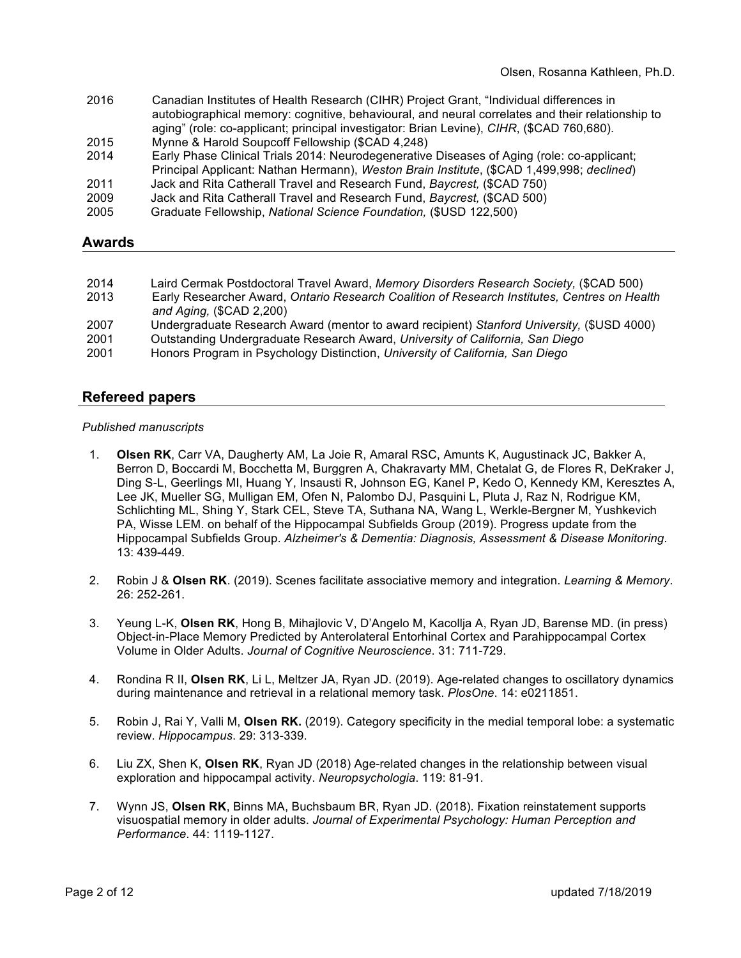- 2016 Canadian Institutes of Health Research (CIHR) Project Grant, "Individual differences in autobiographical memory: cognitive, behavioural, and neural correlates and their relationship to aging" (role: co-applicant; principal investigator: Brian Levine), *CIHR*, (\$CAD 760,680).
- 2015 Mynne & Harold Soupcoff Fellowship (\$CAD 4,248)
- 2014 Early Phase Clinical Trials 2014: Neurodegenerative Diseases of Aging (role: co-applicant; Principal Applicant: Nathan Hermann), *Weston Brain Institute*, (\$CAD 1,499,998; *declined*) 2011 Jack and Rita Catherall Travel and Research Fund, *Baycrest,* (\$CAD 750)
- 2009 Jack and Rita Catherall Travel and Research Fund, *Baycrest,* (\$CAD 500)
- 2005 Graduate Fellowship, *National Science Foundation,* (\$USD 122,500)

#### **Awards**

| 2014 | Laird Cermak Postdoctoral Travel Award, Memory Disorders Research Society, (\$CAD 500)       |
|------|----------------------------------------------------------------------------------------------|
| 2013 | Early Researcher Award, Ontario Research Coalition of Research Institutes, Centres on Health |
|      | and Aging, $(SCAD 2,200)$                                                                    |
| 2007 | Undergraduate Research Award (mentor to award recipient) Stanford University, (\$USD 4000)   |
| 2001 | Outstanding Undergraduate Research Award, University of California, San Diego                |
| 2001 | Honors Program in Psychology Distinction, University of California, San Diego                |
|      |                                                                                              |

#### **Refereed papers**

#### *Published manuscripts*

- 1. **Olsen RK**, Carr VA, Daugherty AM, La Joie R, Amaral RSC, Amunts K, Augustinack JC, Bakker A, Berron D, Boccardi M, Bocchetta M, Burggren A, Chakravarty MM, Chetalat G, de Flores R, DeKraker J, Ding S-L, Geerlings MI, Huang Y, Insausti R, Johnson EG, Kanel P, Kedo O, Kennedy KM, Keresztes A, Lee JK, Mueller SG, Mulligan EM, Ofen N, Palombo DJ, Pasquini L, Pluta J, Raz N, Rodrigue KM, Schlichting ML, Shing Y, Stark CEL, Steve TA, Suthana NA, Wang L, Werkle-Bergner M, Yushkevich PA, Wisse LEM. on behalf of the Hippocampal Subfields Group (2019). Progress update from the Hippocampal Subfields Group. *Alzheimer's & Dementia: Diagnosis, Assessment & Disease Monitoring*. 13: 439-449.
- 2. Robin J & **Olsen RK**. (2019). Scenes facilitate associative memory and integration. *Learning & Memory*. 26: 252-261.
- 3. Yeung L-K, **Olsen RK**, Hong B, Mihajlovic V, D'Angelo M, Kacollja A, Ryan JD, Barense MD. (in press) Object-in-Place Memory Predicted by Anterolateral Entorhinal Cortex and Parahippocampal Cortex Volume in Older Adults. *Journal of Cognitive Neuroscience*. 31: 711-729.
- 4. Rondina R II, **Olsen RK**, Li L, Meltzer JA, Ryan JD. (2019). Age-related changes to oscillatory dynamics during maintenance and retrieval in a relational memory task. *PlosOne*. 14: e0211851.
- 5. Robin J, Rai Y, Valli M, **Olsen RK.** (2019). Category specificity in the medial temporal lobe: a systematic review. *Hippocampus*. 29: 313-339.
- 6. Liu ZX, Shen K, **Olsen RK**, Ryan JD (2018) Age-related changes in the relationship between visual exploration and hippocampal activity. *Neuropsychologia*. 119: 81-91.
- 7. Wynn JS, **Olsen RK**, Binns MA, Buchsbaum BR, Ryan JD. (2018). Fixation reinstatement supports visuospatial memory in older adults. *Journal of Experimental Psychology: Human Perception and Performance*. 44: 1119-1127.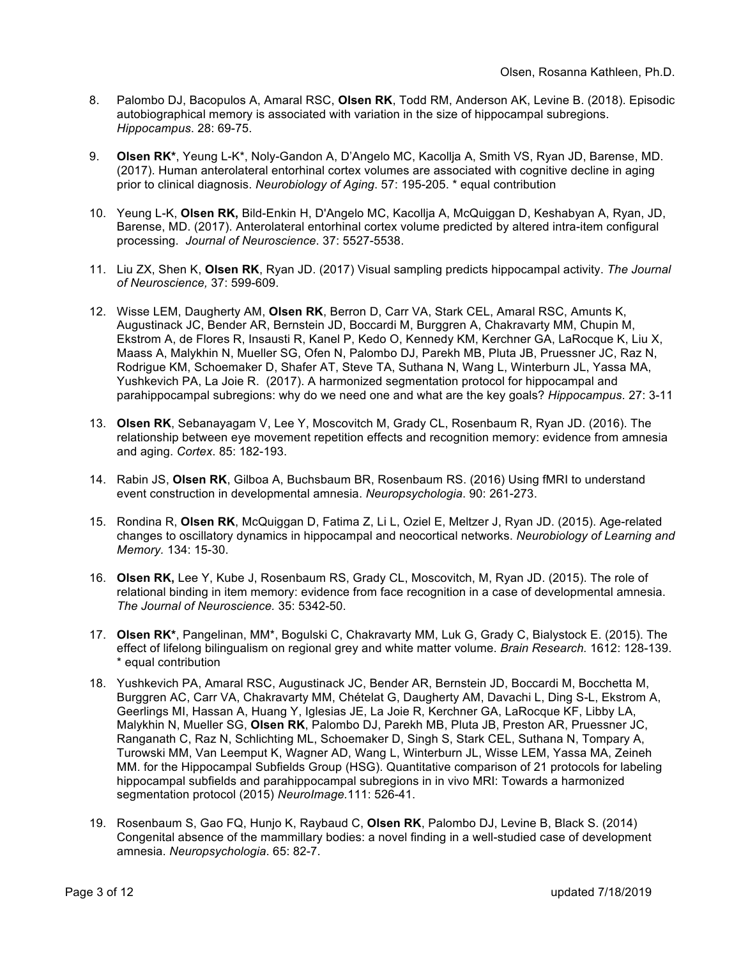- 8. Palombo DJ, Bacopulos A, Amaral RSC, **Olsen RK**, Todd RM, Anderson AK, Levine B. (2018). Episodic autobiographical memory is associated with variation in the size of hippocampal subregions. *Hippocampus*. 28: 69-75.
- 9. **Olsen RK\***, Yeung L-K\*, Noly-Gandon A, D'Angelo MC, Kacollja A, Smith VS, Ryan JD, Barense, MD. (2017). Human anterolateral entorhinal cortex volumes are associated with cognitive decline in aging prior to clinical diagnosis. *Neurobiology of Aging*. 57: 195-205. \* equal contribution
- 10. Yeung L-K, **Olsen RK,** Bild-Enkin H, D'Angelo MC, Kacollja A, McQuiggan D, Keshabyan A, Ryan, JD, Barense, MD. (2017). Anterolateral entorhinal cortex volume predicted by altered intra-item configural processing. *Journal of Neuroscience*. 37: 5527-5538.
- 11. Liu ZX, Shen K, **Olsen RK**, Ryan JD. (2017) Visual sampling predicts hippocampal activity. *The Journal of Neuroscience,* 37: 599-609.
- 12. Wisse LEM, Daugherty AM, **Olsen RK**, Berron D, Carr VA, Stark CEL, Amaral RSC, Amunts K, Augustinack JC, Bender AR, Bernstein JD, Boccardi M, Burggren A, Chakravarty MM, Chupin M, Ekstrom A, de Flores R, Insausti R, Kanel P, Kedo O, Kennedy KM, Kerchner GA, LaRocque K, Liu X, Maass A, Malykhin N, Mueller SG, Ofen N, Palombo DJ, Parekh MB, Pluta JB, Pruessner JC, Raz N, Rodrigue KM, Schoemaker D, Shafer AT, Steve TA, Suthana N, Wang L, Winterburn JL, Yassa MA, Yushkevich PA, La Joie R. (2017). A harmonized segmentation protocol for hippocampal and parahippocampal subregions: why do we need one and what are the key goals? *Hippocampus*. 27: 3-11
- 13. **Olsen RK**, Sebanayagam V, Lee Y, Moscovitch M, Grady CL, Rosenbaum R, Ryan JD. (2016). The relationship between eye movement repetition effects and recognition memory: evidence from amnesia and aging. *Cortex*. 85: 182-193.
- 14. Rabin JS, **Olsen RK**, Gilboa A, Buchsbaum BR, Rosenbaum RS. (2016) Using fMRI to understand event construction in developmental amnesia. *Neuropsychologia*. 90: 261-273.
- 15. Rondina R, **Olsen RK**, McQuiggan D, Fatima Z, Li L, Oziel E, Meltzer J, Ryan JD. (2015). Age-related changes to oscillatory dynamics in hippocampal and neocortical networks. *Neurobiology of Learning and Memory.* 134: 15-30.
- 16. **Olsen RK,** Lee Y, Kube J, Rosenbaum RS, Grady CL, Moscovitch, M, Ryan JD. (2015). The role of relational binding in item memory: evidence from face recognition in a case of developmental amnesia. *The Journal of Neuroscience.* 35: 5342-50.
- 17. **Olsen RK\***, Pangelinan, MM\*, Bogulski C, Chakravarty MM, Luk G, Grady C, Bialystock E. (2015). The effect of lifelong bilingualism on regional grey and white matter volume. *Brain Research.* 1612: 128-139. \* equal contribution
- 18. Yushkevich PA, Amaral RSC, Augustinack JC, Bender AR, Bernstein JD, Boccardi M, Bocchetta M, Burggren AC, Carr VA, Chakravarty MM, Chételat G, Daugherty AM, Davachi L, Ding S-L, Ekstrom A, Geerlings MI, Hassan A, Huang Y, Iglesias JE, La Joie R, Kerchner GA, LaRocque KF, Libby LA, Malykhin N, Mueller SG, **Olsen RK**, Palombo DJ, Parekh MB, Pluta JB, Preston AR, Pruessner JC, Ranganath C, Raz N, Schlichting ML, Schoemaker D, Singh S, Stark CEL, Suthana N, Tompary A, Turowski MM, Van Leemput K, Wagner AD, Wang L, Winterburn JL, Wisse LEM, Yassa MA, Zeineh MM. for the Hippocampal Subfields Group (HSG). Quantitative comparison of 21 protocols for labeling hippocampal subfields and parahippocampal subregions in in vivo MRI: Towards a harmonized segmentation protocol (2015) *NeuroImage.*111: 526-41.
- 19. Rosenbaum S, Gao FQ, Hunjo K, Raybaud C, **Olsen RK**, Palombo DJ, Levine B, Black S. (2014) Congenital absence of the mammillary bodies: a novel finding in a well-studied case of development amnesia. *Neuropsychologia*. 65: 82-7.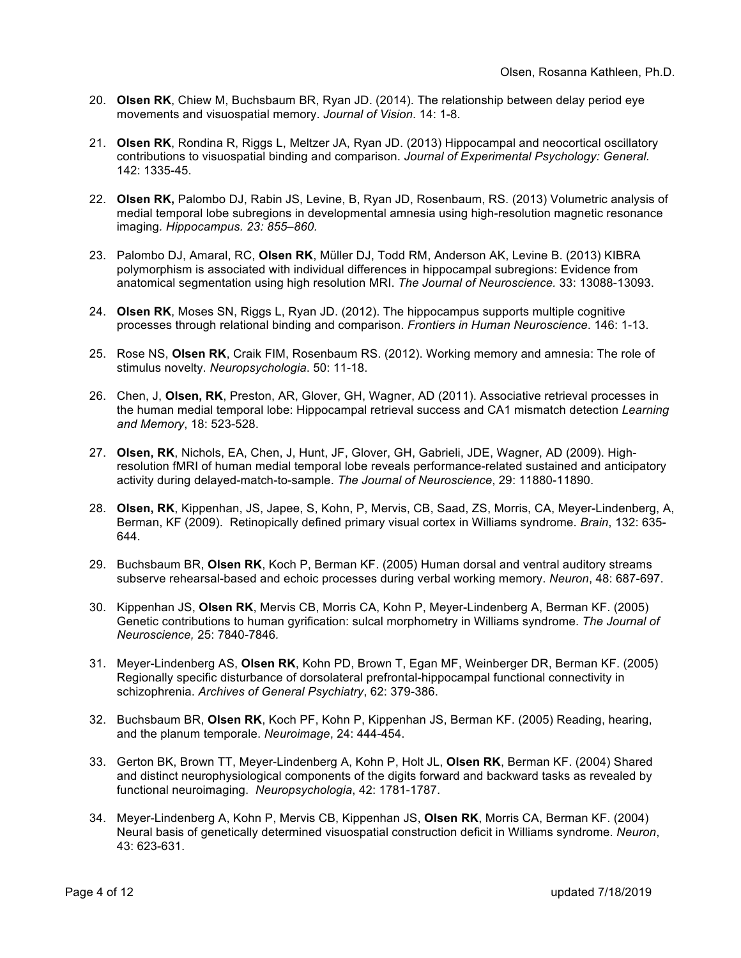- 20. **Olsen RK**, Chiew M, Buchsbaum BR, Ryan JD. (2014). The relationship between delay period eye movements and visuospatial memory. *Journal of Vision*. 14: 1-8.
- 21. **Olsen RK**, Rondina R, Riggs L, Meltzer JA, Ryan JD. (2013) Hippocampal and neocortical oscillatory contributions to visuospatial binding and comparison. *Journal of Experimental Psychology: General.*  142: 1335-45.
- 22. **Olsen RK,** Palombo DJ, Rabin JS, Levine, B, Ryan JD, Rosenbaum, RS. (2013) Volumetric analysis of medial temporal lobe subregions in developmental amnesia using high-resolution magnetic resonance imaging*. Hippocampus. 23: 855–860.*
- 23. Palombo DJ, Amaral, RC, **Olsen RK**, Müller DJ, Todd RM, Anderson AK, Levine B. (2013) KIBRA polymorphism is associated with individual differences in hippocampal subregions: Evidence from anatomical segmentation using high resolution MRI. *The Journal of Neuroscience.* 33: 13088-13093.
- 24. **Olsen RK**, Moses SN, Riggs L, Ryan JD. (2012). The hippocampus supports multiple cognitive processes through relational binding and comparison. *Frontiers in Human Neuroscience*. 146: 1-13.
- 25. Rose NS, **Olsen RK**, Craik FIM, Rosenbaum RS. (2012). Working memory and amnesia: The role of stimulus novelty. *Neuropsychologia*. 50: 11-18.
- 26. Chen, J, **Olsen, RK**, Preston, AR, Glover, GH, Wagner, AD (2011). Associative retrieval processes in the human medial temporal lobe: Hippocampal retrieval success and CA1 mismatch detection *Learning and Memory*, 18: 523-528.
- 27. **Olsen, RK**, Nichols, EA, Chen, J, Hunt, JF, Glover, GH, Gabrieli, JDE, Wagner, AD (2009). Highresolution fMRI of human medial temporal lobe reveals performance-related sustained and anticipatory activity during delayed-match-to-sample. *The Journal of Neuroscience*, 29: 11880-11890.
- 28. **Olsen, RK**, Kippenhan, JS, Japee, S, Kohn, P, Mervis, CB, Saad, ZS, Morris, CA, Meyer-Lindenberg, A, Berman, KF (2009). Retinopically defined primary visual cortex in Williams syndrome. *Brain*, 132: 635- 644.
- 29. Buchsbaum BR, **Olsen RK**, Koch P, Berman KF. (2005) Human dorsal and ventral auditory streams subserve rehearsal-based and echoic processes during verbal working memory. *Neuron*, 48: 687-697.
- 30. Kippenhan JS, **Olsen RK**, Mervis CB, Morris CA, Kohn P, Meyer-Lindenberg A, Berman KF. (2005) Genetic contributions to human gyrification: sulcal morphometry in Williams syndrome. *The Journal of Neuroscience,* 25: 7840-7846*.*
- 31. Meyer-Lindenberg AS, **Olsen RK**, Kohn PD, Brown T, Egan MF, Weinberger DR, Berman KF. (2005) Regionally specific disturbance of dorsolateral prefrontal-hippocampal functional connectivity in schizophrenia. *Archives of General Psychiatry*, 62: 379-386.
- 32. Buchsbaum BR, **Olsen RK**, Koch PF, Kohn P, Kippenhan JS, Berman KF. (2005) Reading, hearing, and the planum temporale. *Neuroimage*, 24: 444-454.
- 33. Gerton BK, Brown TT, Meyer-Lindenberg A, Kohn P, Holt JL, **Olsen RK**, Berman KF. (2004) Shared and distinct neurophysiological components of the digits forward and backward tasks as revealed by functional neuroimaging. *Neuropsychologia*, 42: 1781-1787.
- 34. Meyer-Lindenberg A, Kohn P, Mervis CB, Kippenhan JS, **Olsen RK**, Morris CA, Berman KF. (2004) Neural basis of genetically determined visuospatial construction deficit in Williams syndrome. *Neuron*, 43: 623-631.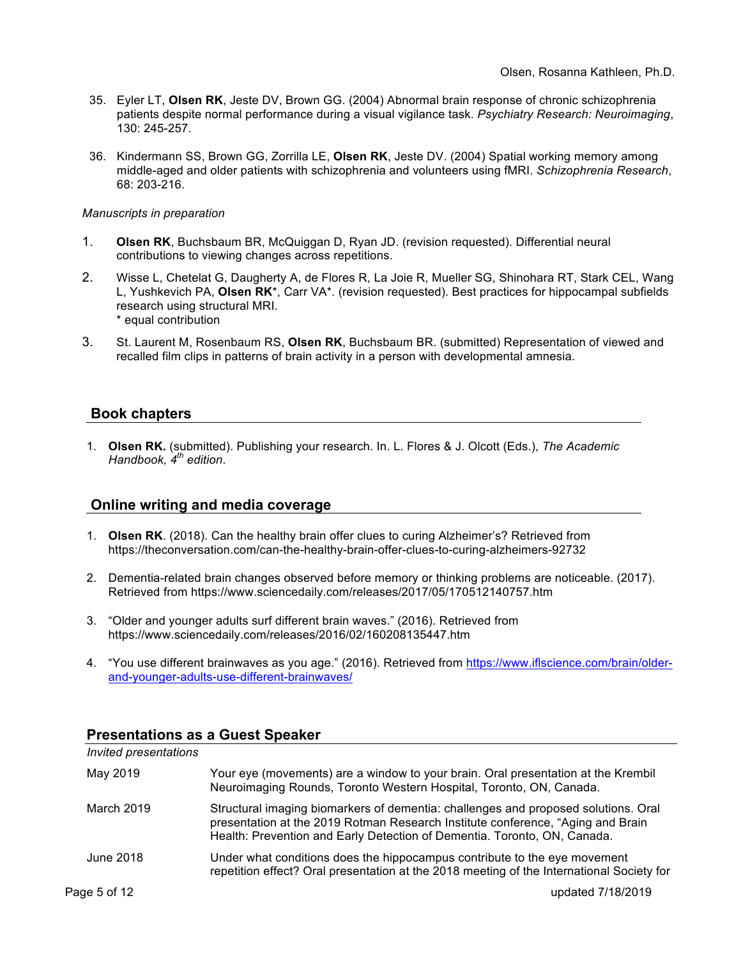- 35. Eyler LT, **Olsen RK**, Jeste DV, Brown GG. (2004) Abnormal brain response of chronic schizophrenia patients despite normal performance during a visual vigilance task. *Psychiatry Research: Neuroimaging*, 130: 245-257.
- 36. Kindermann SS, Brown GG, Zorrilla LE, **Olsen RK**, Jeste DV. (2004) Spatial working memory among middle-aged and older patients with schizophrenia and volunteers using fMRI. *Schizophrenia Research*, 68: 203-216.

#### *Manuscripts in preparation*

- 1. **Olsen RK**, Buchsbaum BR, McQuiggan D, Ryan JD. (revision requested). Differential neural contributions to viewing changes across repetitions.
- 2. Wisse L, Chetelat G, Daugherty A, de Flores R, La Joie R, Mueller SG, Shinohara RT, Stark CEL, Wang L, Yushkevich PA, **Olsen RK**\*, Carr VA\*. (revision requested). Best practices for hippocampal subfields research using structural MRI. \* equal contribution
- 3. St. Laurent M, Rosenbaum RS, **Olsen RK**, Buchsbaum BR. (submitted) Representation of viewed and recalled film clips in patterns of brain activity in a person with developmental amnesia.

### **Book chapters**

1. **Olsen RK.** (submitted). Publishing your research. In. L. Flores & J. Olcott (Eds.), *The Academic Handbook, 4th edition*.

#### **Online writing and media coverage**

- 1. **Olsen RK**. (2018). Can the healthy brain offer clues to curing Alzheimer's? Retrieved from https://theconversation.com/can-the-healthy-brain-offer-clues-to-curing-alzheimers-92732
- 2. Dementia-related brain changes observed before memory or thinking problems are noticeable. (2017). Retrieved from https://www.sciencedaily.com/releases/2017/05/170512140757.htm
- 3. "Older and younger adults surf different brain waves." (2016). Retrieved from https://www.sciencedaily.com/releases/2016/02/160208135447.htm
- 4. "You use different brainwaves as you age." (2016). Retrieved from https://www.iflscience.com/brain/olderand-younger-adults-use-different-brainwaves/

| Invited presentations |                                                                                                                                                                                                                                                   |
|-----------------------|---------------------------------------------------------------------------------------------------------------------------------------------------------------------------------------------------------------------------------------------------|
| May 2019              | Your eye (movements) are a window to your brain. Oral presentation at the Krembil<br>Neuroimaging Rounds, Toronto Western Hospital, Toronto, ON, Canada.                                                                                          |
| March 2019            | Structural imaging biomarkers of dementia: challenges and proposed solutions. Oral<br>presentation at the 2019 Rotman Research Institute conference, "Aging and Brain<br>Health: Prevention and Early Detection of Dementia. Toronto, ON, Canada. |
| June 2018             | Under what conditions does the hippocampus contribute to the eye movement<br>repetition effect? Oral presentation at the 2018 meeting of the International Society for                                                                            |
| Page 5 of 12          | updated 7/18/2019                                                                                                                                                                                                                                 |

#### **Presentations as a Guest Speaker**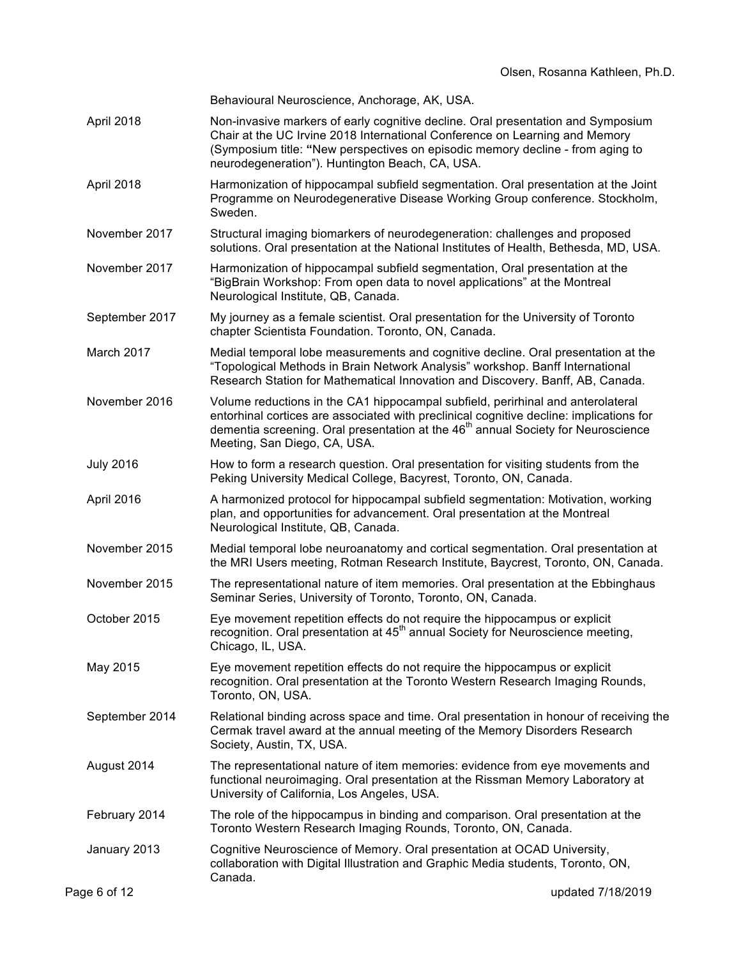|                  | Behavioural Neuroscience, Anchorage, AK, USA.                                                                                                                                                                                                                                                               |
|------------------|-------------------------------------------------------------------------------------------------------------------------------------------------------------------------------------------------------------------------------------------------------------------------------------------------------------|
| April 2018       | Non-invasive markers of early cognitive decline. Oral presentation and Symposium<br>Chair at the UC Irvine 2018 International Conference on Learning and Memory<br>(Symposium title: "New perspectives on episodic memory decline - from aging to<br>neurodegeneration"). Huntington Beach, CA, USA.        |
| April 2018       | Harmonization of hippocampal subfield segmentation. Oral presentation at the Joint<br>Programme on Neurodegenerative Disease Working Group conference. Stockholm,<br>Sweden.                                                                                                                                |
| November 2017    | Structural imaging biomarkers of neurodegeneration: challenges and proposed<br>solutions. Oral presentation at the National Institutes of Health, Bethesda, MD, USA.                                                                                                                                        |
| November 2017    | Harmonization of hippocampal subfield segmentation, Oral presentation at the<br>"BigBrain Workshop: From open data to novel applications" at the Montreal<br>Neurological Institute, QB, Canada.                                                                                                            |
| September 2017   | My journey as a female scientist. Oral presentation for the University of Toronto<br>chapter Scientista Foundation. Toronto, ON, Canada.                                                                                                                                                                    |
| March 2017       | Medial temporal lobe measurements and cognitive decline. Oral presentation at the<br>"Topological Methods in Brain Network Analysis" workshop. Banff International<br>Research Station for Mathematical Innovation and Discovery. Banff, AB, Canada.                                                        |
| November 2016    | Volume reductions in the CA1 hippocampal subfield, perirhinal and anterolateral<br>entorhinal cortices are associated with preclinical cognitive decline: implications for<br>dementia screening. Oral presentation at the 46 <sup>th</sup> annual Society for Neuroscience<br>Meeting, San Diego, CA, USA. |
| <b>July 2016</b> | How to form a research question. Oral presentation for visiting students from the<br>Peking University Medical College, Bacyrest, Toronto, ON, Canada.                                                                                                                                                      |
| April 2016       | A harmonized protocol for hippocampal subfield segmentation: Motivation, working<br>plan, and opportunities for advancement. Oral presentation at the Montreal<br>Neurological Institute, QB, Canada.                                                                                                       |
| November 2015    | Medial temporal lobe neuroanatomy and cortical segmentation. Oral presentation at<br>the MRI Users meeting, Rotman Research Institute, Baycrest, Toronto, ON, Canada.                                                                                                                                       |
| November 2015    | The representational nature of item memories. Oral presentation at the Ebbinghaus<br>Seminar Series, University of Toronto, Toronto, ON, Canada.                                                                                                                                                            |
| October 2015     | Eye movement repetition effects do not require the hippocampus or explicit<br>recognition. Oral presentation at 45 <sup>th</sup> annual Society for Neuroscience meeting,<br>Chicago, IL, USA.                                                                                                              |
| May 2015         | Eye movement repetition effects do not require the hippocampus or explicit<br>recognition. Oral presentation at the Toronto Western Research Imaging Rounds,<br>Toronto, ON, USA.                                                                                                                           |
| September 2014   | Relational binding across space and time. Oral presentation in honour of receiving the<br>Cermak travel award at the annual meeting of the Memory Disorders Research<br>Society, Austin, TX, USA.                                                                                                           |
| August 2014      | The representational nature of item memories: evidence from eye movements and<br>functional neuroimaging. Oral presentation at the Rissman Memory Laboratory at<br>University of California, Los Angeles, USA.                                                                                              |
| February 2014    | The role of the hippocampus in binding and comparison. Oral presentation at the<br>Toronto Western Research Imaging Rounds, Toronto, ON, Canada.                                                                                                                                                            |
| January 2013     | Cognitive Neuroscience of Memory. Oral presentation at OCAD University,<br>collaboration with Digital Illustration and Graphic Media students, Toronto, ON,                                                                                                                                                 |
| Page 6 of 12     | Canada.<br>updated 7/18/2019                                                                                                                                                                                                                                                                                |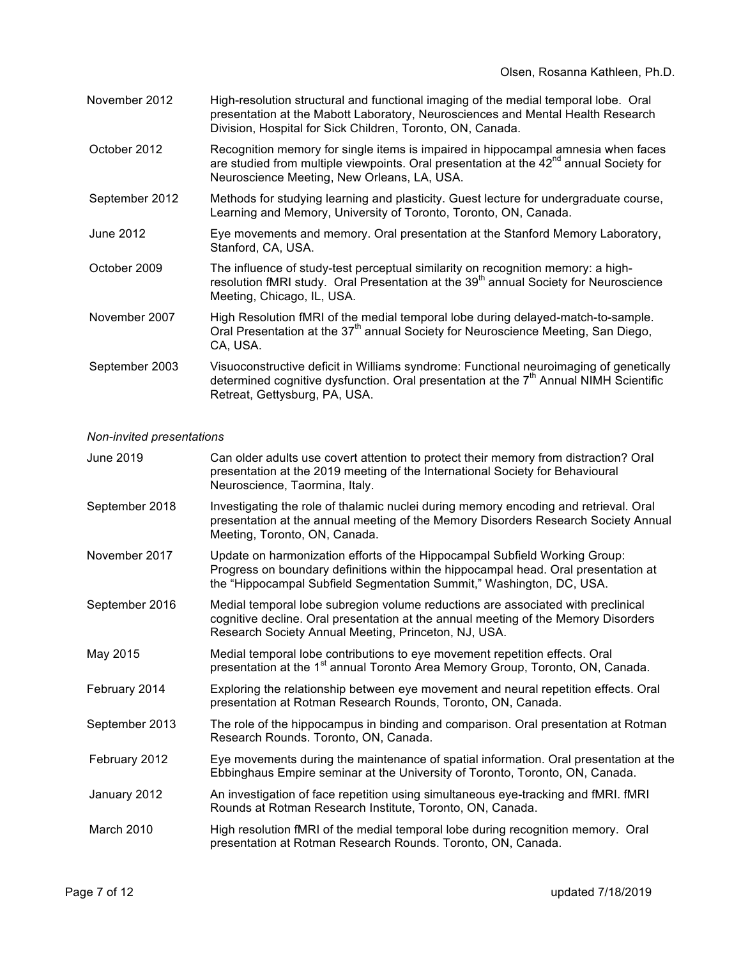- November 2012 High-resolution structural and functional imaging of the medial temporal lobe. Oral presentation at the Mabott Laboratory, Neurosciences and Mental Health Research Division, Hospital for Sick Children, Toronto, ON, Canada.
- October 2012 Recognition memory for single items is impaired in hippocampal amnesia when faces are studied from multiple viewpoints. Oral presentation at the 42<sup>nd</sup> annual Society for Neuroscience Meeting, New Orleans, LA, USA.
- September 2012 Methods for studying learning and plasticity. Guest lecture for undergraduate course, Learning and Memory, University of Toronto, Toronto, ON, Canada.
- June 2012 Eye movements and memory. Oral presentation at the Stanford Memory Laboratory, Stanford, CA, USA.
- October 2009 The influence of study-test perceptual similarity on recognition memory: a highresolution fMRI study. Oral Presentation at the 39<sup>th</sup> annual Society for Neuroscience Meeting, Chicago, IL, USA.
- November 2007 High Resolution fMRI of the medial temporal lobe during delayed-match-to-sample. Oral Presentation at the  $37<sup>th</sup>$  annual Society for Neuroscience Meeting, San Diego, CA, USA.
- September 2003 Visuoconstructive deficit in Williams syndrome: Functional neuroimaging of genetically determined cognitive dysfunction. Oral presentation at the  $7<sup>th</sup>$  Annual NIMH Scientific Retreat, Gettysburg, PA, USA.

#### *Non-invited presentations*

| June 2019      | Can older adults use covert attention to protect their memory from distraction? Oral<br>presentation at the 2019 meeting of the International Society for Behavioural<br>Neuroscience, Taormina, Italy.                                  |
|----------------|------------------------------------------------------------------------------------------------------------------------------------------------------------------------------------------------------------------------------------------|
| September 2018 | Investigating the role of thalamic nuclei during memory encoding and retrieval. Oral<br>presentation at the annual meeting of the Memory Disorders Research Society Annual<br>Meeting, Toronto, ON, Canada.                              |
| November 2017  | Update on harmonization efforts of the Hippocampal Subfield Working Group:<br>Progress on boundary definitions within the hippocampal head. Oral presentation at<br>the "Hippocampal Subfield Segmentation Summit," Washington, DC, USA. |
| September 2016 | Medial temporal lobe subregion volume reductions are associated with preclinical<br>cognitive decline. Oral presentation at the annual meeting of the Memory Disorders<br>Research Society Annual Meeting, Princeton, NJ, USA.           |
| May 2015       | Medial temporal lobe contributions to eye movement repetition effects. Oral<br>presentation at the 1 <sup>st</sup> annual Toronto Area Memory Group, Toronto, ON, Canada.                                                                |
| February 2014  | Exploring the relationship between eye movement and neural repetition effects. Oral<br>presentation at Rotman Research Rounds, Toronto, ON, Canada.                                                                                      |
| September 2013 | The role of the hippocampus in binding and comparison. Oral presentation at Rotman<br>Research Rounds. Toronto, ON, Canada.                                                                                                              |
| February 2012  | Eye movements during the maintenance of spatial information. Oral presentation at the<br>Ebbinghaus Empire seminar at the University of Toronto, Toronto, ON, Canada.                                                                    |
| January 2012   | An investigation of face repetition using simultaneous eye-tracking and fMRI. fMRI<br>Rounds at Rotman Research Institute, Toronto, ON, Canada.                                                                                          |
| March 2010     | High resolution fMRI of the medial temporal lobe during recognition memory. Oral<br>presentation at Rotman Research Rounds. Toronto, ON, Canada.                                                                                         |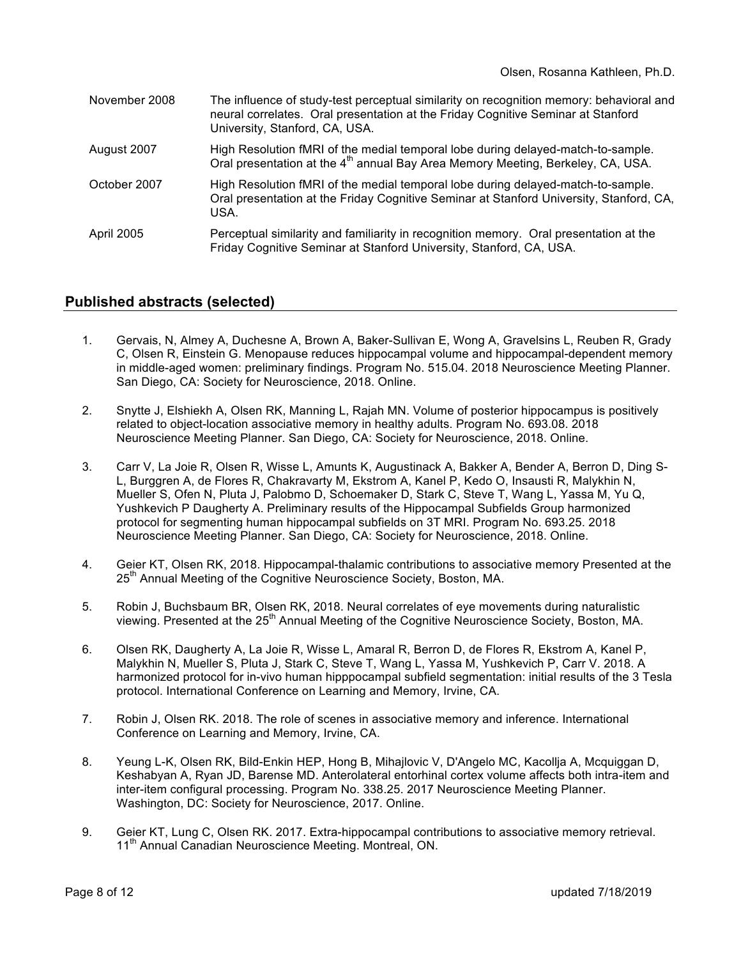| November 2008     | The influence of study-test perceptual similarity on recognition memory: behavioral and<br>neural correlates. Oral presentation at the Friday Cognitive Seminar at Stanford<br>University, Stanford, CA, USA. |
|-------------------|---------------------------------------------------------------------------------------------------------------------------------------------------------------------------------------------------------------|
| August 2007       | High Resolution fMRI of the medial temporal lobe during delayed-match-to-sample.<br>Oral presentation at the 4 <sup>th</sup> annual Bay Area Memory Meeting, Berkeley, CA, USA.                               |
| October 2007      | High Resolution fMRI of the medial temporal lobe during delayed-match-to-sample.<br>Oral presentation at the Friday Cognitive Seminar at Stanford University, Stanford, CA,<br>USA.                           |
| <b>April 2005</b> | Perceptual similarity and familiarity in recognition memory. Oral presentation at the<br>Friday Cognitive Seminar at Stanford University, Stanford, CA, USA.                                                  |

### **Published abstracts (selected)**

- 1. Gervais, N, Almey A, Duchesne A, Brown A, Baker-Sullivan E, Wong A, Gravelsins L, Reuben R, Grady C, Olsen R, Einstein G. Menopause reduces hippocampal volume and hippocampal-dependent memory in middle-aged women: preliminary findings. Program No. 515.04. 2018 Neuroscience Meeting Planner. San Diego, CA: Society for Neuroscience, 2018. Online.
- 2. Snytte J, Elshiekh A, Olsen RK, Manning L, Rajah MN. Volume of posterior hippocampus is positively related to object-location associative memory in healthy adults. Program No. 693.08. 2018 Neuroscience Meeting Planner. San Diego, CA: Society for Neuroscience, 2018. Online.
- 3. Carr V, La Joie R, Olsen R, Wisse L, Amunts K, Augustinack A, Bakker A, Bender A, Berron D, Ding S-L, Burggren A, de Flores R, Chakravarty M, Ekstrom A, Kanel P, Kedo O, Insausti R, Malykhin N, Mueller S, Ofen N, Pluta J, Palobmo D, Schoemaker D, Stark C, Steve T, Wang L, Yassa M, Yu Q, Yushkevich P Daugherty A. Preliminary results of the Hippocampal Subfields Group harmonized protocol for segmenting human hippocampal subfields on 3T MRI. Program No. 693.25. 2018 Neuroscience Meeting Planner. San Diego, CA: Society for Neuroscience, 2018. Online.
- 4. Geier KT, Olsen RK, 2018. Hippocampal-thalamic contributions to associative memory Presented at the 25<sup>th</sup> Annual Meeting of the Cognitive Neuroscience Society, Boston, MA.
- 5. Robin J, Buchsbaum BR, Olsen RK, 2018. Neural correlates of eye movements during naturalistic viewing. Presented at the 25<sup>th</sup> Annual Meeting of the Cognitive Neuroscience Society, Boston, MA.
- 6. Olsen RK, Daugherty A, La Joie R, Wisse L, Amaral R, Berron D, de Flores R, Ekstrom A, Kanel P, Malykhin N, Mueller S, Pluta J, Stark C, Steve T, Wang L, Yassa M, Yushkevich P, Carr V. 2018. A harmonized protocol for in-vivo human hipppocampal subfield segmentation: initial results of the 3 Tesla protocol. International Conference on Learning and Memory, Irvine, CA.
- 7. Robin J, Olsen RK. 2018. The role of scenes in associative memory and inference. International Conference on Learning and Memory, Irvine, CA.
- 8. Yeung L-K, Olsen RK, Bild-Enkin HEP, Hong B, Mihajlovic V, D'Angelo MC, Kacollja A, Mcquiggan D, Keshabyan A, Ryan JD, Barense MD. Anterolateral entorhinal cortex volume affects both intra-item and inter-item configural processing. Program No. 338.25. 2017 Neuroscience Meeting Planner. Washington, DC: Society for Neuroscience, 2017. Online.
- 9. Geier KT, Lung C, Olsen RK. 2017. Extra-hippocampal contributions to associative memory retrieval. 11<sup>th</sup> Annual Canadian Neuroscience Meeting. Montreal, ON.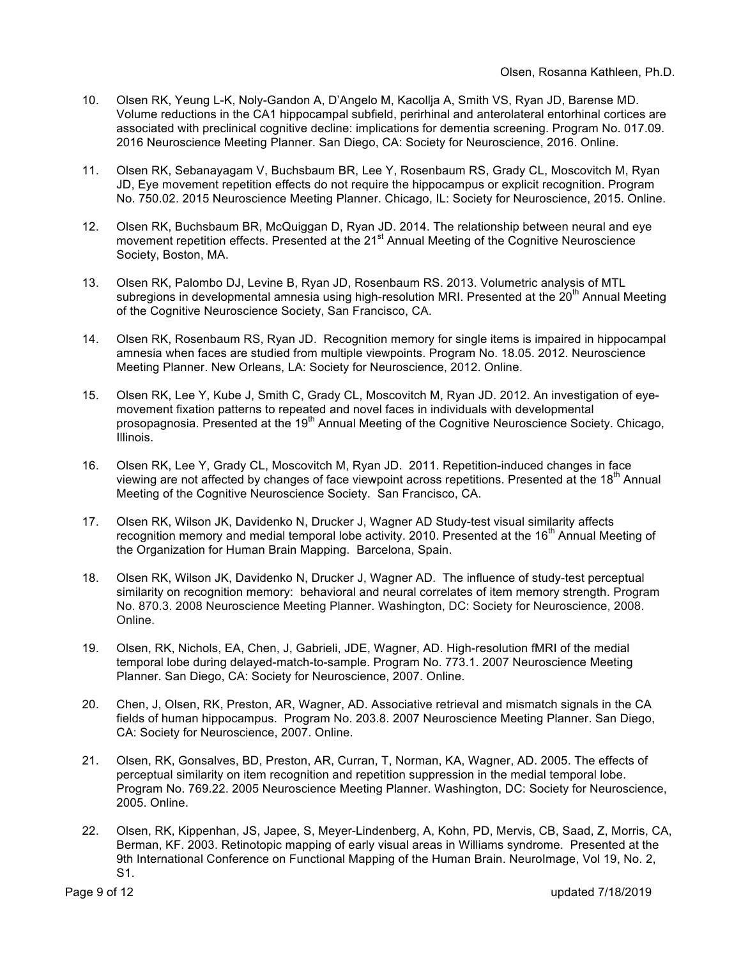- 10. Olsen RK, Yeung L-K, Noly-Gandon A, D'Angelo M, Kacollja A, Smith VS, Ryan JD, Barense MD. Volume reductions in the CA1 hippocampal subfield, perirhinal and anterolateral entorhinal cortices are associated with preclinical cognitive decline: implications for dementia screening. Program No. 017.09. 2016 Neuroscience Meeting Planner. San Diego, CA: Society for Neuroscience, 2016. Online.
- 11. Olsen RK, Sebanayagam V, Buchsbaum BR, Lee Y, Rosenbaum RS, Grady CL, Moscovitch M, Ryan JD, Eye movement repetition effects do not require the hippocampus or explicit recognition. Program No. 750.02. 2015 Neuroscience Meeting Planner. Chicago, IL: Society for Neuroscience, 2015. Online.
- 12. Olsen RK, Buchsbaum BR, McQuiggan D, Ryan JD. 2014. The relationship between neural and eye movement repetition effects. Presented at the 21<sup>st</sup> Annual Meeting of the Cognitive Neuroscience Society, Boston, MA.
- 13. Olsen RK, Palombo DJ, Levine B, Ryan JD, Rosenbaum RS. 2013. Volumetric analysis of MTL subregions in developmental amnesia using high-resolution MRI. Presented at the 20<sup>th</sup> Annual Meeting of the Cognitive Neuroscience Society, San Francisco, CA.
- 14. Olsen RK, Rosenbaum RS, Ryan JD. Recognition memory for single items is impaired in hippocampal amnesia when faces are studied from multiple viewpoints. Program No. 18.05. 2012. Neuroscience Meeting Planner. New Orleans, LA: Society for Neuroscience, 2012. Online.
- 15. Olsen RK, Lee Y, Kube J, Smith C, Grady CL, Moscovitch M, Ryan JD. 2012. An investigation of eyemovement fixation patterns to repeated and novel faces in individuals with developmental prosopagnosia. Presented at the 19<sup>th</sup> Annual Meeting of the Cognitive Neuroscience Society. Chicago, Illinois.
- 16. Olsen RK, Lee Y, Grady CL, Moscovitch M, Ryan JD. 2011. Repetition-induced changes in face viewing are not affected by changes of face viewpoint across repetitions. Presented at the 18<sup>th</sup> Annual Meeting of the Cognitive Neuroscience Society. San Francisco, CA.
- 17. Olsen RK, Wilson JK, Davidenko N, Drucker J, Wagner AD Study-test visual similarity affects recognition memory and medial temporal lobe activity. 2010. Presented at the 16<sup>th</sup> Annual Meeting of the Organization for Human Brain Mapping. Barcelona, Spain.
- 18. Olsen RK, Wilson JK, Davidenko N, Drucker J, Wagner AD. The influence of study-test perceptual similarity on recognition memory: behavioral and neural correlates of item memory strength. Program No. 870.3. 2008 Neuroscience Meeting Planner. Washington, DC: Society for Neuroscience, 2008. Online.
- 19. Olsen, RK, Nichols, EA, Chen, J, Gabrieli, JDE, Wagner, AD. High-resolution fMRI of the medial temporal lobe during delayed-match-to-sample. Program No. 773.1. 2007 Neuroscience Meeting Planner. San Diego, CA: Society for Neuroscience, 2007. Online.
- 20. Chen, J, Olsen, RK, Preston, AR, Wagner, AD. Associative retrieval and mismatch signals in the CA fields of human hippocampus. Program No. 203.8. 2007 Neuroscience Meeting Planner. San Diego, CA: Society for Neuroscience, 2007. Online.
- 21. Olsen, RK, Gonsalves, BD, Preston, AR, Curran, T, Norman, KA, Wagner, AD. 2005. The effects of perceptual similarity on item recognition and repetition suppression in the medial temporal lobe. Program No. 769.22. 2005 Neuroscience Meeting Planner. Washington, DC: Society for Neuroscience, 2005. Online.
- 22. Olsen, RK, Kippenhan, JS, Japee, S, Meyer-Lindenberg, A, Kohn, PD, Mervis, CB, Saad, Z, Morris, CA, Berman, KF. 2003. Retinotopic mapping of early visual areas in Williams syndrome. Presented at the 9th International Conference on Functional Mapping of the Human Brain. NeuroImage, Vol 19, No. 2, S1.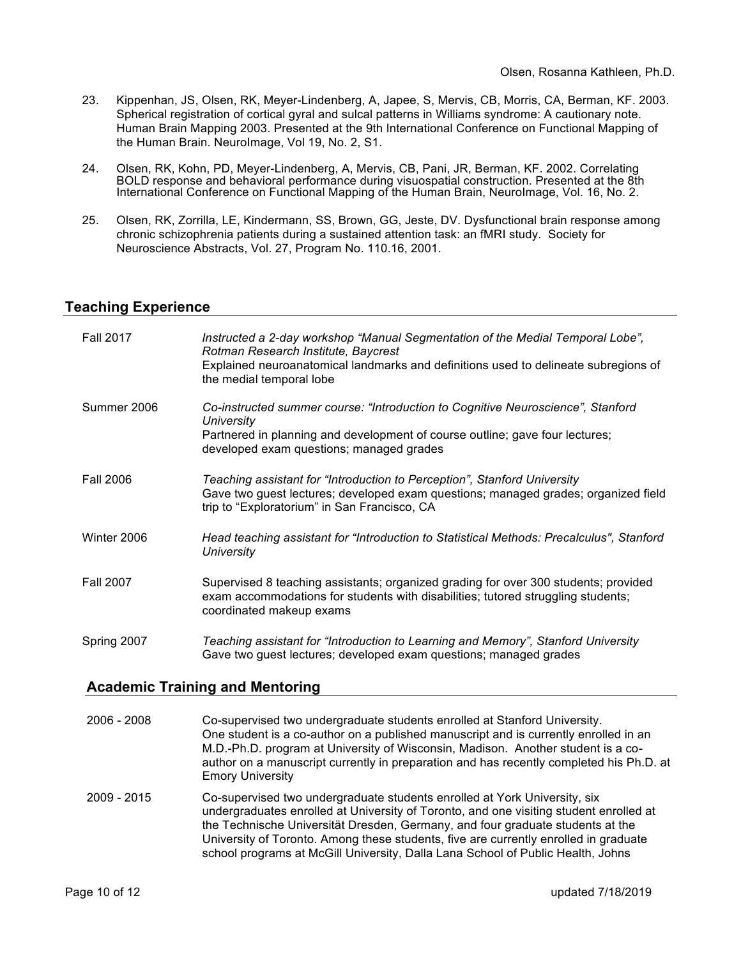- 23. Kippenhan, JS, Olsen, RK, Meyer-Lindenberg, A, Japee, S, Mervis, CB, Morris, CA, Berman, KF. 2003. Spherical registration of cortical gyral and sulcal patterns in Williams syndrome: A cautionary note. Human Brain Mapping 2003. Presented at the 9th International Conference on Functional Mapping of the Human Brain. NeuroImage, Vol 19, No. 2, S1.
- 24. Olsen, RK, Kohn, PD, Meyer-Lindenberg, A, Mervis, CB, Pani, JR, Berman, KF. 2002. Correlating BOLD response and behavioral performance during visuospatial construction. Presented at the 8th International Conference on Functional Mapping of the Human Brain, NeuroImage, Vol. 16, No. 2.
- 25. Olsen, RK, Zorrilla, LE, Kindermann, SS, Brown, GG, Jeste, DV. Dysfunctional brain response among chronic schizophrenia patients during a sustained attention task: an fMRI study. Society for Neuroscience Abstracts, Vol. 27, Program No. 110.16, 2001.

### **Teaching Experience**

| <b>Fall 2017</b> | Instructed a 2-day workshop "Manual Segmentation of the Medial Temporal Lobe",<br>Rotman Research Institute, Baycrest<br>Explained neuroanatomical landmarks and definitions used to delineate subregions of<br>the medial temporal lobe |
|------------------|------------------------------------------------------------------------------------------------------------------------------------------------------------------------------------------------------------------------------------------|
| Summer 2006      | Co-instructed summer course: "Introduction to Cognitive Neuroscience", Stanford<br>University<br>Partnered in planning and development of course outline; gave four lectures;<br>developed exam questions; managed grades                |
| <b>Fall 2006</b> | Teaching assistant for "Introduction to Perception", Stanford University<br>Gave two guest lectures; developed exam questions; managed grades; organized field<br>trip to "Exploratorium" in San Francisco, CA                           |
| Winter 2006      | Head teaching assistant for "Introduction to Statistical Methods: Precalculus", Stanford<br>University                                                                                                                                   |
| <b>Fall 2007</b> | Supervised 8 teaching assistants; organized grading for over 300 students; provided<br>exam accommodations for students with disabilities; tutored struggling students;<br>coordinated makeup exams                                      |
| Spring 2007      | Teaching assistant for "Introduction to Learning and Memory", Stanford University<br>Gave two guest lectures; developed exam questions; managed grades                                                                                   |

#### **Academic Training and Mentoring**

| $2006 - 2008$ | Co-supervised two undergraduate students enrolled at Stanford University.<br>One student is a co-author on a published manuscript and is currently enrolled in an<br>M.D.-Ph.D. program at University of Wisconsin, Madison. Another student is a co-<br>author on a manuscript currently in preparation and has recently completed his Ph.D. at<br><b>Emory University</b>                                                      |
|---------------|----------------------------------------------------------------------------------------------------------------------------------------------------------------------------------------------------------------------------------------------------------------------------------------------------------------------------------------------------------------------------------------------------------------------------------|
| 2009 - 2015   | Co-supervised two undergraduate students enrolled at York University, six<br>undergraduates enrolled at University of Toronto, and one visiting student enrolled at<br>the Technische Universität Dresden, Germany, and four graduate students at the<br>University of Toronto. Among these students, five are currently enrolled in graduate<br>school programs at McGill University, Dalla Lana School of Public Health, Johns |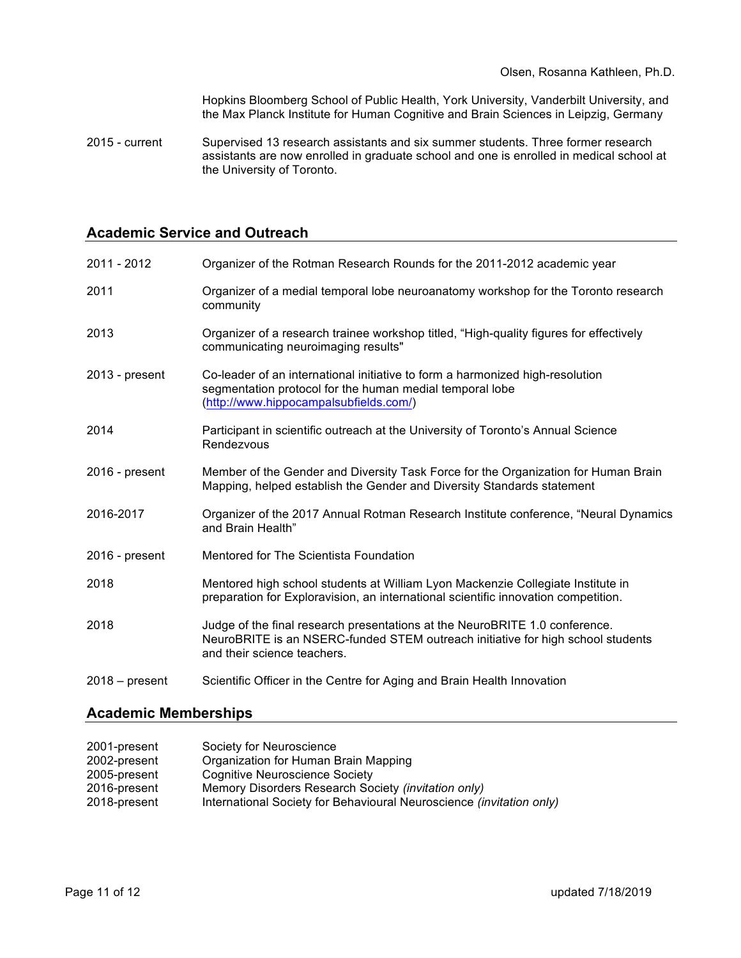Hopkins Bloomberg School of Public Health, York University, Vanderbilt University, and the Max Planck Institute for Human Cognitive and Brain Sciences in Leipzig, Germany

2015 - current Supervised 13 research assistants and six summer students. Three former research assistants are now enrolled in graduate school and one is enrolled in medical school at the University of Toronto.

#### **Academic Service and Outreach**

| 2011 - 2012    | Organizer of the Rotman Research Rounds for the 2011-2012 academic year                                                                                                                       |
|----------------|-----------------------------------------------------------------------------------------------------------------------------------------------------------------------------------------------|
| 2011           | Organizer of a medial temporal lobe neuroanatomy workshop for the Toronto research<br>community                                                                                               |
| 2013           | Organizer of a research trainee workshop titled, "High-quality figures for effectively<br>communicating neuroimaging results"                                                                 |
| 2013 - present | Co-leader of an international initiative to form a harmonized high-resolution<br>segmentation protocol for the human medial temporal lobe<br>(http://www.hippocampalsubfields.com/)           |
| 2014           | Participant in scientific outreach at the University of Toronto's Annual Science<br>Rendezvous                                                                                                |
| 2016 - present | Member of the Gender and Diversity Task Force for the Organization for Human Brain<br>Mapping, helped establish the Gender and Diversity Standards statement                                  |
| 2016-2017      | Organizer of the 2017 Annual Rotman Research Institute conference, "Neural Dynamics<br>and Brain Health"                                                                                      |
| 2016 - present | Mentored for The Scientista Foundation                                                                                                                                                        |
| 2018           | Mentored high school students at William Lyon Mackenzie Collegiate Institute in<br>preparation for Exploravision, an international scientific innovation competition.                         |
| 2018           | Judge of the final research presentations at the NeuroBRITE 1.0 conference.<br>NeuroBRITE is an NSERC-funded STEM outreach initiative for high school students<br>and their science teachers. |
| 2018 – present | Scientific Officer in the Centre for Aging and Brain Health Innovation                                                                                                                        |

### **Academic Memberships**

| 2001-present | Society for Neuroscience                                             |
|--------------|----------------------------------------------------------------------|
| 2002-present | Organization for Human Brain Mapping                                 |
| 2005-present | <b>Cognitive Neuroscience Society</b>                                |
| 2016-present | Memory Disorders Research Society (invitation only)                  |
| 2018-present | International Society for Behavioural Neuroscience (invitation only) |